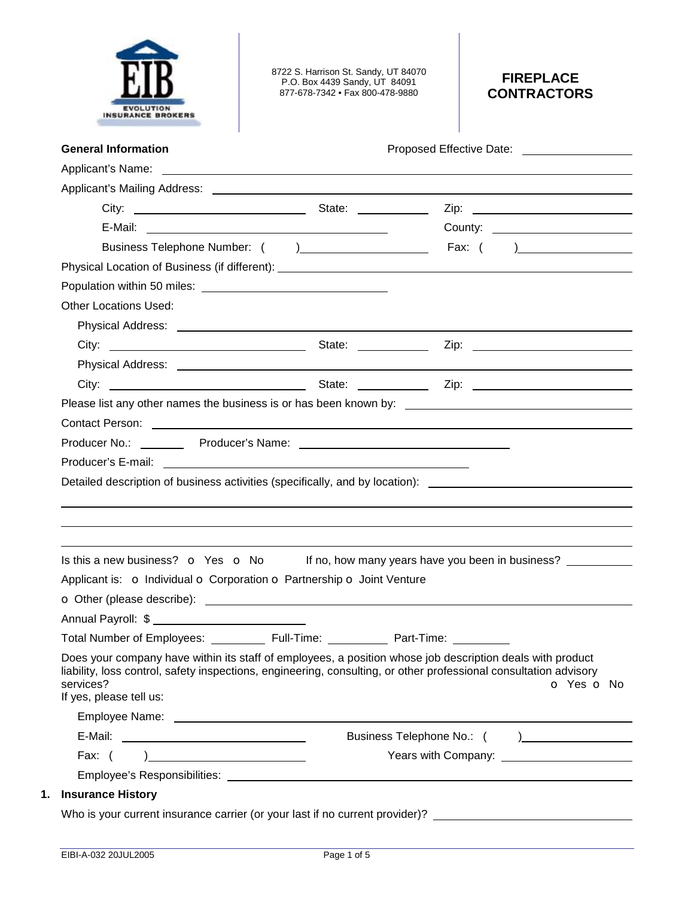

8722 S. Harrison St. Sandy, UT 84070 P.O. Box 4439 Sandy, UT 84091 877-678-7342 • Fax 800-478-9880

# **FIREPLACE CONTRACTORS**

| <b>General Information</b>                                                                                                                                                                                                                                             | Proposed Effective Date: Notelland School and School and School and School and School and School and School and School and School and School and School and School and School and School and School and School and School and |
|------------------------------------------------------------------------------------------------------------------------------------------------------------------------------------------------------------------------------------------------------------------------|-------------------------------------------------------------------------------------------------------------------------------------------------------------------------------------------------------------------------------|
|                                                                                                                                                                                                                                                                        |                                                                                                                                                                                                                               |
|                                                                                                                                                                                                                                                                        |                                                                                                                                                                                                                               |
|                                                                                                                                                                                                                                                                        |                                                                                                                                                                                                                               |
|                                                                                                                                                                                                                                                                        | County: <u>_______________________</u>                                                                                                                                                                                        |
|                                                                                                                                                                                                                                                                        |                                                                                                                                                                                                                               |
|                                                                                                                                                                                                                                                                        |                                                                                                                                                                                                                               |
|                                                                                                                                                                                                                                                                        |                                                                                                                                                                                                                               |
| <b>Other Locations Used:</b>                                                                                                                                                                                                                                           |                                                                                                                                                                                                                               |
|                                                                                                                                                                                                                                                                        |                                                                                                                                                                                                                               |
|                                                                                                                                                                                                                                                                        |                                                                                                                                                                                                                               |
|                                                                                                                                                                                                                                                                        |                                                                                                                                                                                                                               |
|                                                                                                                                                                                                                                                                        |                                                                                                                                                                                                                               |
|                                                                                                                                                                                                                                                                        |                                                                                                                                                                                                                               |
|                                                                                                                                                                                                                                                                        | Contact Person: 2008 Contact Person:                                                                                                                                                                                          |
|                                                                                                                                                                                                                                                                        |                                                                                                                                                                                                                               |
|                                                                                                                                                                                                                                                                        |                                                                                                                                                                                                                               |
|                                                                                                                                                                                                                                                                        |                                                                                                                                                                                                                               |
|                                                                                                                                                                                                                                                                        |                                                                                                                                                                                                                               |
|                                                                                                                                                                                                                                                                        | Detailed description of business activities (specifically, and by location): _________________________________                                                                                                                |
|                                                                                                                                                                                                                                                                        |                                                                                                                                                                                                                               |
|                                                                                                                                                                                                                                                                        |                                                                                                                                                                                                                               |
|                                                                                                                                                                                                                                                                        |                                                                                                                                                                                                                               |
|                                                                                                                                                                                                                                                                        |                                                                                                                                                                                                                               |
|                                                                                                                                                                                                                                                                        |                                                                                                                                                                                                                               |
|                                                                                                                                                                                                                                                                        | Is this a new business? $\bullet$ Yes $\bullet$ No If no, how many years have you been in business?                                                                                                                           |
|                                                                                                                                                                                                                                                                        |                                                                                                                                                                                                                               |
| Applicant is: o Individual o Corporation o Partnership o Joint Venture<br>Annual Payroll: \$                                                                                                                                                                           |                                                                                                                                                                                                                               |
| Total Number of Employees: ____________ Full-Time: __                                                                                                                                                                                                                  | Part-Time:                                                                                                                                                                                                                    |
|                                                                                                                                                                                                                                                                        |                                                                                                                                                                                                                               |
|                                                                                                                                                                                                                                                                        |                                                                                                                                                                                                                               |
|                                                                                                                                                                                                                                                                        |                                                                                                                                                                                                                               |
|                                                                                                                                                                                                                                                                        |                                                                                                                                                                                                                               |
| Does your company have within its staff of employees, a position whose job description deals with product<br>liability, loss control, safety inspections, engineering, consulting, or other professional consultation advisory<br>services?<br>If yes, please tell us: |                                                                                                                                                                                                                               |
| Fax: $( )$                                                                                                                                                                                                                                                             |                                                                                                                                                                                                                               |
|                                                                                                                                                                                                                                                                        | O Yes O No                                                                                                                                                                                                                    |
| <b>Insurance History</b>                                                                                                                                                                                                                                               |                                                                                                                                                                                                                               |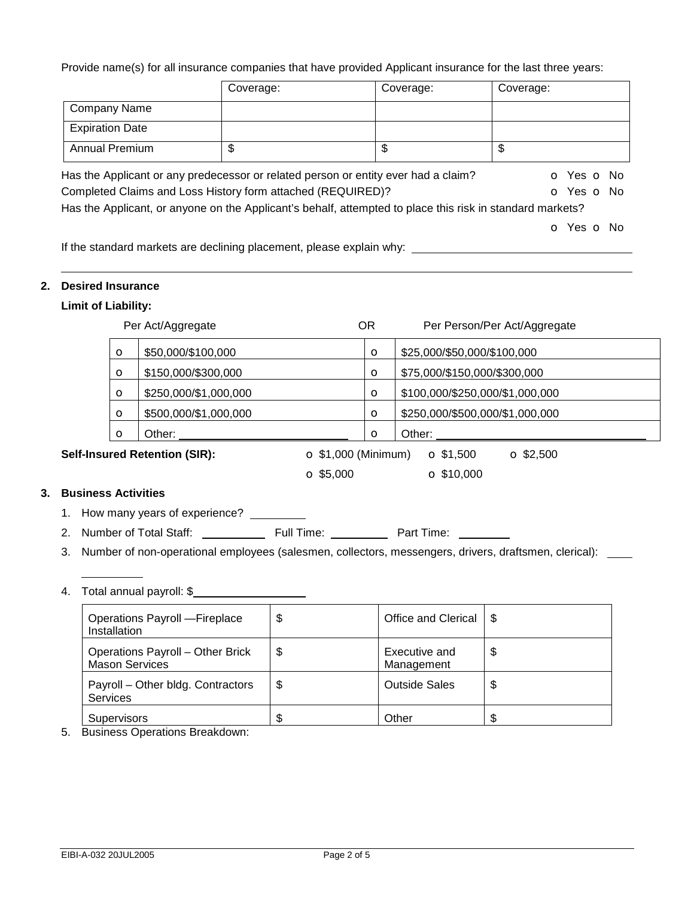Provide name(s) for all insurance companies that have provided Applicant insurance for the last three years:

|                        | Coverage:                                                                                                     | Coverage: | Coverage:  |
|------------------------|---------------------------------------------------------------------------------------------------------------|-----------|------------|
| <b>Company Name</b>    |                                                                                                               |           |            |
| <b>Expiration Date</b> |                                                                                                               |           |            |
| <b>Annual Premium</b>  | \$                                                                                                            | \$        | \$         |
|                        | Has the Applicant or any predecessor or related person or entity ever had a claim?                            |           | O Yes O No |
|                        | Completed Claims and Loss History form attached (REQUIRED)?                                                   |           | O Yes O No |
|                        | Has the Applicant, or anyone on the Applicant's behalf, attempted to place this risk in standard markets?     |           |            |
|                        |                                                                                                               |           | O Yes O No |
|                        | المنطوبة المراسيين والمستحال والمتحدث ومستحيات والمتاريخ والمتحدث والمتناسخ ومراجعته المتحالف والمالا الأرائل |           |            |

If the standard markets are declining placement, please explain why:

### **2. Desired Insurance**

# **Limit of Liability:**

|         | Per Act/Aggregate                                           | OR      | Per Person/Per Act/Aggregate         |
|---------|-------------------------------------------------------------|---------|--------------------------------------|
| $\circ$ | \$50,000/\$100,000                                          | O       | \$25,000/\$50,000/\$100,000          |
| $\circ$ | \$150,000/\$300,000                                         | O       | \$75,000/\$150,000/\$300,000         |
| $\circ$ | \$250,000/\$1,000,000                                       | $\circ$ | \$100,000/\$250,000/\$1,000,000      |
| $\circ$ | \$500,000/\$1,000,000                                       | O       | \$250,000/\$500,000/\$1,000,000      |
| $\circ$ | Other:                                                      | O       | Other:                               |
|         | Self-Insured Retention (SIR):<br>$\Omega$ \$1,000 (Minimum) |         | $\Omega$ \$1,500<br>$\Omega$ \$2,500 |

 $\bullet$  \$5,000  $\bullet$  \$10,000

# **3. Business Activities**

- 1. How many years of experience?
- 2. Number of Total Staff: Full Time: Part Time:
- 3. Number of non-operational employees (salesmen, collectors, messengers, drivers, draftsmen, clerical): \_\_\_\_
- 4. Total annual payroll: \$

| Operations Payroll - Fireplace<br>Installation                   | \$<br>Office and Clerical         | -\$ |
|------------------------------------------------------------------|-----------------------------------|-----|
| <b>Operations Payroll - Other Brick</b><br><b>Mason Services</b> | \$<br>Executive and<br>Management | \$  |
| Payroll - Other bldg. Contractors<br><b>Services</b>             | \$<br><b>Outside Sales</b>        | \$  |
| Supervisors                                                      | \$<br>Other                       | S   |

5. Business Operations Breakdown: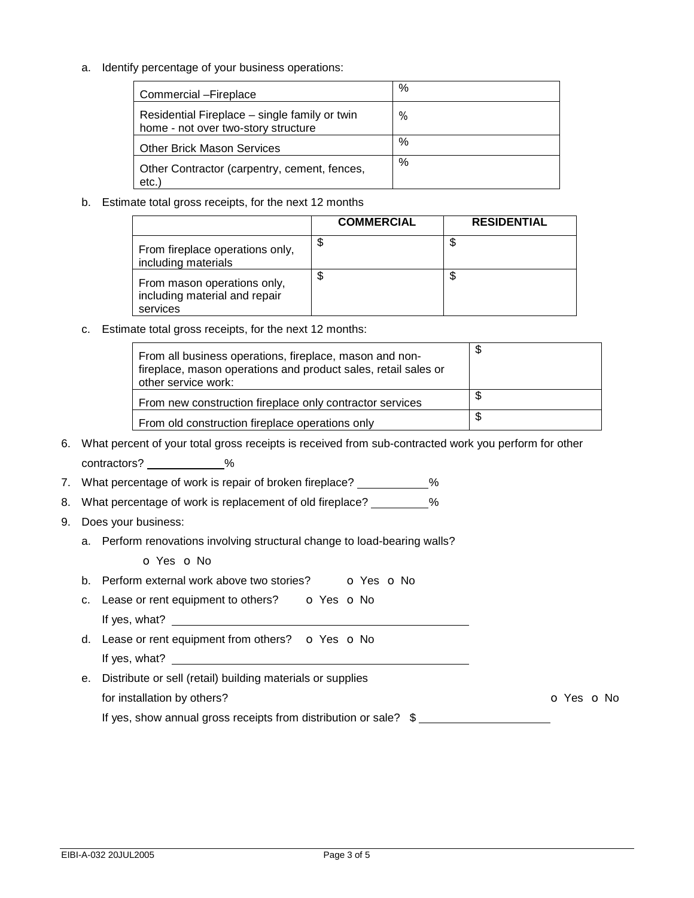a. Identify percentage of your business operations:

| Commercial - Fireplace                                                               | % |
|--------------------------------------------------------------------------------------|---|
| Residential Fireplace - single family or twin<br>home - not over two-story structure | % |
| <b>Other Brick Mason Services</b>                                                    | % |
| Other Contractor (carpentry, cement, fences,<br>etc.)                                | % |

b. Estimate total gross receipts, for the next 12 months

|                                                                          | <b>COMMERCIAL</b> | <b>RESIDENTIAL</b> |
|--------------------------------------------------------------------------|-------------------|--------------------|
| From fireplace operations only,<br>including materials                   | \$                | ง                  |
| From mason operations only,<br>including material and repair<br>services | \$                | Φ                  |

c. Estimate total gross receipts, for the next 12 months:

| other service work: | From all business operations, fireplace, mason and non-<br>fireplace, mason operations and product sales, retail sales or | \$ |
|---------------------|---------------------------------------------------------------------------------------------------------------------------|----|
|                     | From new construction fireplace only contractor services                                                                  |    |
|                     | From old construction fireplace operations only                                                                           |    |

- 6. What percent of your total gross receipts is received from sub-contracted work you perform for other contractors? \_\_\_\_\_\_\_\_\_\_\_\_%
- 7. What percentage of work is repair of broken fireplace? \_\_\_\_\_\_\_\_\_\_%
- 8. What percentage of work is replacement of old fireplace? \_\_\_\_\_\_\_\_\_%
- 9. Does your business:
	- a. Perform renovations involving structural change to load-bearing walls?

o Yes o No

- b. Perform external work above two stories? **o** Yes **o** No
- c. Lease or rent equipment to others?  $\bullet$  Yes  $\bullet$  No If yes, what?
- d. Lease or rent equipment from others? o Yes o No If yes, what? \_\_\_\_\_
- e. Distribute or sell (retail) building materials or supplies for installation by others? Community of Yes on No. 2012. The Community of Yes on No. 2012. If yes, show annual gross receipts from distribution or sale?  $$$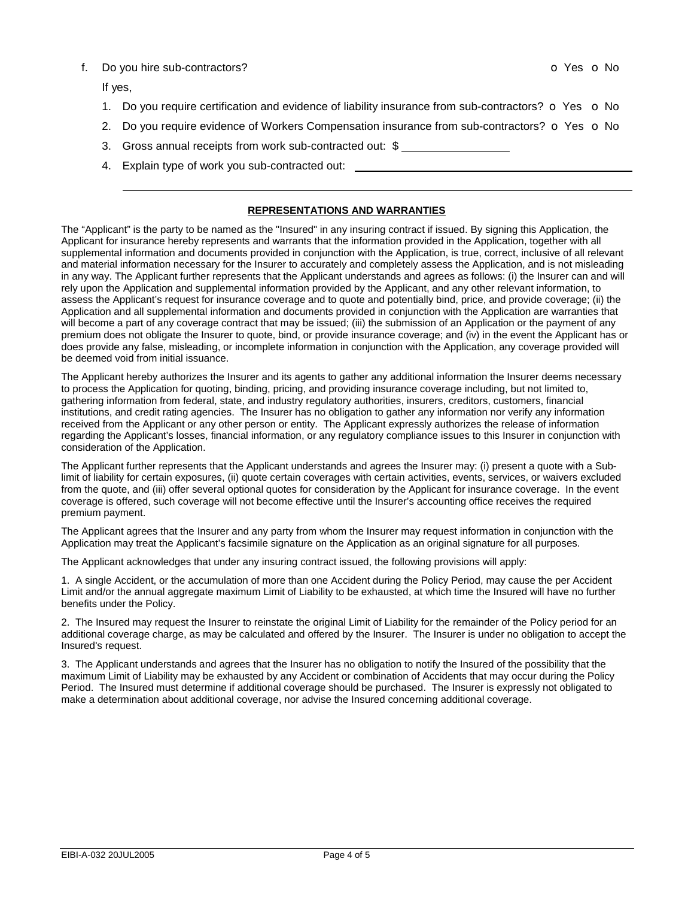#### f. Do you hire sub-contractors? contractors on the sub-contractors of the state of the state of the state of the state of the state of the state of the state of the state of the state of the state of the state of the state

If yes,

- 1. Do you require certification and evidence of liability insurance from sub-contractors?  $\bullet$  Yes  $\bullet$  No
- 2. Do you require evidence of Workers Compensation insurance from sub-contractors?  $\sigma$  Yes  $\sigma$  No
- 3. Gross annual receipts from work sub-contracted out: \$
- 4. Explain type of work you sub-contracted out:

#### **REPRESENTATIONS AND WARRANTIES**

The "Applicant" is the party to be named as the "Insured" in any insuring contract if issued. By signing this Application, the Applicant for insurance hereby represents and warrants that the information provided in the Application, together with all supplemental information and documents provided in conjunction with the Application, is true, correct, inclusive of all relevant and material information necessary for the Insurer to accurately and completely assess the Application, and is not misleading in any way. The Applicant further represents that the Applicant understands and agrees as follows: (i) the Insurer can and will rely upon the Application and supplemental information provided by the Applicant, and any other relevant information, to assess the Applicant's request for insurance coverage and to quote and potentially bind, price, and provide coverage; (ii) the Application and all supplemental information and documents provided in conjunction with the Application are warranties that will become a part of any coverage contract that may be issued; (iii) the submission of an Application or the payment of any premium does not obligate the Insurer to quote, bind, or provide insurance coverage; and (iv) in the event the Applicant has or does provide any false, misleading, or incomplete information in conjunction with the Application, any coverage provided will be deemed void from initial issuance.

The Applicant hereby authorizes the Insurer and its agents to gather any additional information the Insurer deems necessary to process the Application for quoting, binding, pricing, and providing insurance coverage including, but not limited to, gathering information from federal, state, and industry regulatory authorities, insurers, creditors, customers, financial institutions, and credit rating agencies. The Insurer has no obligation to gather any information nor verify any information received from the Applicant or any other person or entity. The Applicant expressly authorizes the release of information regarding the Applicant's losses, financial information, or any regulatory compliance issues to this Insurer in conjunction with consideration of the Application.

The Applicant further represents that the Applicant understands and agrees the Insurer may: (i) present a quote with a Sublimit of liability for certain exposures, (ii) quote certain coverages with certain activities, events, services, or waivers excluded from the quote, and (iii) offer several optional quotes for consideration by the Applicant for insurance coverage. In the event coverage is offered, such coverage will not become effective until the Insurer's accounting office receives the required premium payment.

The Applicant agrees that the Insurer and any party from whom the Insurer may request information in conjunction with the Application may treat the Applicant's facsimile signature on the Application as an original signature for all purposes.

The Applicant acknowledges that under any insuring contract issued, the following provisions will apply:

1. A single Accident, or the accumulation of more than one Accident during the Policy Period, may cause the per Accident Limit and/or the annual aggregate maximum Limit of Liability to be exhausted, at which time the Insured will have no further benefits under the Policy.

2. The Insured may request the Insurer to reinstate the original Limit of Liability for the remainder of the Policy period for an additional coverage charge, as may be calculated and offered by the Insurer. The Insurer is under no obligation to accept the Insured's request.

3. The Applicant understands and agrees that the Insurer has no obligation to notify the Insured of the possibility that the maximum Limit of Liability may be exhausted by any Accident or combination of Accidents that may occur during the Policy Period. The Insured must determine if additional coverage should be purchased. The Insurer is expressly not obligated to make a determination about additional coverage, nor advise the Insured concerning additional coverage.